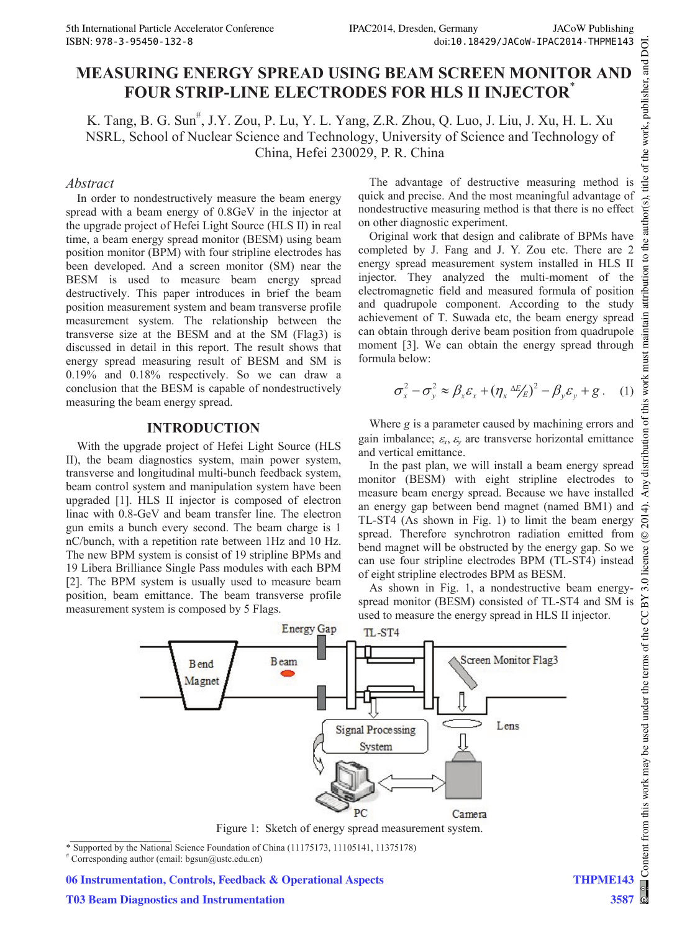# **MEASURING ENERGY SPREAD USING BEAM SCREEN MONITOR AND FOUR STRIP-LINE ELECTRODES FOR HLS II INJECTOR**\*

K. Tang, B. G. Sun<sup>#</sup>, J.Y. Zou, P. Lu, Y. L. Yang, Z.R. Zhou, Q. Luo, J. Liu, J. Xu, H. L. Xu NSRL, School of Nuclear Science and Technology, University of Science and Technology of China, Hefei 230029, P. R. China

# *Abstract*

In order to nondestructively measure the beam energy spread with a beam energy of 0.8GeV in the injector at the upgrade project of Hefei Light Source (HLS II) in real time, a beam energy spread monitor (BESM) using beam position monitor (BPM) with four stripline electrodes has been developed. And a screen monitor (SM) near the BESM is used to measure beam energy spread destructively. This paper introduces in brief the beam position measurement system and beam transverse profile measurement system. The relationship between the transverse size at the BESM and at the SM (Flag3) is discussed in detail in this report. The result shows that energy spread measuring result of BESM and SM is 0.19% and 0.18% respectively. So we can draw a conclusion that the BESM is capable of nondestructively measuring the beam energy spread.

### **INTRODUCTION**

With the upgrade project of Hefei Light Source (HLS II), the beam diagnostics system, main power system, transverse and longitudinal multi-bunch feedback system, beam control system and manipulation system have been upgraded [1]. HLS II injector is composed of electron linac with 0.8-GeV and beam transfer line. The electron gun emits a bunch every second. The beam charge is 1 nC/bunch, with a repetition rate between 1Hz and 10 Hz. The new BPM system is consist of 19 stripline BPMs and 19 Libera Brilliance Single Pass modules with each BPM [2]. The BPM system is usually used to measure beam position, beam emittance. The beam transverse profile measurement system is composed by 5 Flags.

The advantage of destructive measuring method is quick and precise. And the most meaningful advantage of nondestructive measuring method is that there is no effect on other diagnostic experiment.

Original work that design and calibrate of BPMs have completed by J. Fang and J. Y. Zou etc. There are 2 energy spread measurement system installed in HLS II injector. They analyzed the multi-moment of the electromagnetic field and measured formula of position and quadrupole component. According to the study achievement of T. Suwada etc, the beam energy spread can obtain through derive beam position from quadrupole moment [3]. We can obtain the energy spread through formula below:

$$
\sigma_x^2 - \sigma_y^2 \approx \beta_x \varepsilon_x + (\eta_x \Delta E/E)^2 - \beta_y \varepsilon_y + g \,. \tag{1}
$$

Where *g* is a parameter caused by machining errors and gain imbalance;  $\varepsilon_x$ ,  $\varepsilon_y$  are transverse horizontal emittance and vertical emittance.

In the past plan, we will install a beam energy spread monitor (BESM) with eight stripline electrodes to measure beam energy spread. Because we have installed an energy gap between bend magnet (named BM1) and TL-ST4 (As shown in Fig. 1) to limit the beam energy spread. Therefore synchrotron radiation emitted from bend magnet will be obstructed by the energy gap. So we can use four stripline electrodes BPM (TL-ST4) instead of eight stripline electrodes BPM as BESM.

As shown in Fig. 1, a nondestructive beam energyspread monitor (BESM) consisted of TL-ST4 and SM is used to measure the energy spread in HLS II injector.



\* Supported by the National Science Foundation of China (11175173, 11105141, 11375178) #

 $*$  Corresponding author (email: bgsun@ustc.edu.cn)

**06 Instrumentation, Controls, Feedback & Operational Aspects**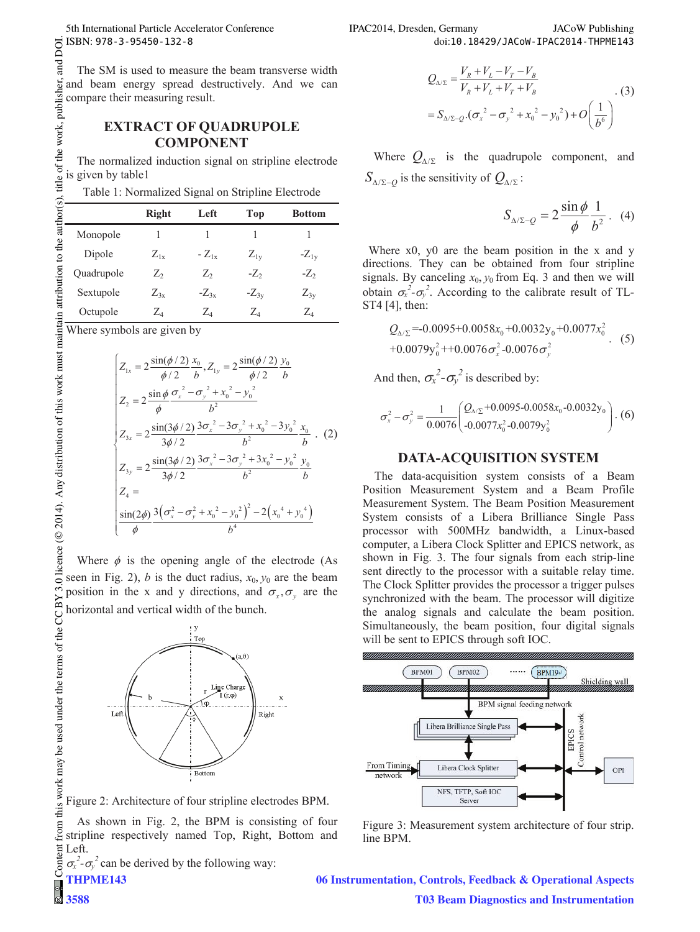# **EXTRACT OF QUADRUPOLE COMPONENT**

| Table 1: Normalized Signal on Stripline Electrode |  |  |
|---------------------------------------------------|--|--|
|---------------------------------------------------|--|--|

| ISBN: 978-3-95450-132-8                                                                                                                                                                                                                                       |              |                                                                                                                         |          |                                                                                                                               |  |
|---------------------------------------------------------------------------------------------------------------------------------------------------------------------------------------------------------------------------------------------------------------|--------------|-------------------------------------------------------------------------------------------------------------------------|----------|-------------------------------------------------------------------------------------------------------------------------------|--|
| The SM is used to measure the beam transverse width<br>g and beam energy spread destructively. And we can<br>compare their measuring result.                                                                                                                  |              |                                                                                                                         |          |                                                                                                                               |  |
|                                                                                                                                                                                                                                                               |              |                                                                                                                         |          |                                                                                                                               |  |
|                                                                                                                                                                                                                                                               |              | <b>EXTRACT OF QUADRUPOLE</b>                                                                                            |          |                                                                                                                               |  |
|                                                                                                                                                                                                                                                               |              | <b>COMPONENT</b>                                                                                                        |          |                                                                                                                               |  |
| The normalized induction signal on stripline electrode                                                                                                                                                                                                        |              |                                                                                                                         |          |                                                                                                                               |  |
|                                                                                                                                                                                                                                                               |              |                                                                                                                         |          |                                                                                                                               |  |
| Table 1: Normalized Signal on Stripline Electrode                                                                                                                                                                                                             |              |                                                                                                                         |          |                                                                                                                               |  |
|                                                                                                                                                                                                                                                               | <b>Right</b> | Left                                                                                                                    | Top      | <b>Bottom</b>                                                                                                                 |  |
|                                                                                                                                                                                                                                                               | 1            | 1                                                                                                                       | 1        | 1                                                                                                                             |  |
| EXTRA<br>EXTRA<br>$\frac{1}{2}$ is given by table 1: Norm<br>Table 1: Norm<br>Fable 1: Norm<br>Fable 1: Norm<br>Fable 1: Norm<br>Fable 1: Norm<br>Fable 1: Norm<br>Fable 1: Norm<br>Fable 1: Norm<br>Fable 1: Norm<br>Fable 1: Norm<br>Fable 1: Norm<br>Fable |              | $Z_{1x}$ - $Z_{1x}$                                                                                                     | $Z_{1y}$ | $-Z_{1y}$                                                                                                                     |  |
|                                                                                                                                                                                                                                                               | $Z_2$        | $Z_2$                                                                                                                   |          | $-Z_2$                                                                                                                        |  |
|                                                                                                                                                                                                                                                               |              | $Z_{3x}$ - $Z_{3x}$ - $Z_{3y}$                                                                                          |          | $Z_{3y}$                                                                                                                      |  |
|                                                                                                                                                                                                                                                               | $Z_4$        | $Z_4$                                                                                                                   | $Z_4$    | $\mathbb{Z}_4$                                                                                                                |  |
| Where symbols are given by                                                                                                                                                                                                                                    |              |                                                                                                                         |          |                                                                                                                               |  |
|                                                                                                                                                                                                                                                               |              |                                                                                                                         |          |                                                                                                                               |  |
|                                                                                                                                                                                                                                                               |              | $Z_{1x} = 2 \frac{\sin(\phi/2)}{\phi/2} \frac{x_0}{b}, Z_{1y} = 2 \frac{\sin(\phi/2)}{\phi/2} \frac{y_0}{b}$            |          |                                                                                                                               |  |
|                                                                                                                                                                                                                                                               |              |                                                                                                                         |          |                                                                                                                               |  |
|                                                                                                                                                                                                                                                               |              | $Z_2 = 2 \frac{\sin \phi}{\phi} \frac{{\sigma_x}^2 - {\sigma_y}^2 + {x_0}^2 - {y_0}^2}{b^2}$                            |          |                                                                                                                               |  |
|                                                                                                                                                                                                                                                               |              |                                                                                                                         |          |                                                                                                                               |  |
|                                                                                                                                                                                                                                                               |              |                                                                                                                         |          | $Z_{3x} = 2 \frac{\sin(3\phi/2)}{3\phi/2} \frac{3{\sigma_x}^2 - 3{\sigma_y}^2 + {x_0}^2 - 3{y_0}^2}{b^2} \frac{x_0}{b}$ . (2) |  |
|                                                                                                                                                                                                                                                               |              | $Z_{3y} = 2 \frac{\sin(3\phi/2)}{3\phi/2} \frac{3{\sigma_x}^2 - 3{\sigma_y}^2 + 3{x_0}^2 - {y_0}^2}{b^2} \frac{y_0}{b}$ |          |                                                                                                                               |  |
|                                                                                                                                                                                                                                                               |              |                                                                                                                         |          |                                                                                                                               |  |
|                                                                                                                                                                                                                                                               |              |                                                                                                                         |          |                                                                                                                               |  |
|                                                                                                                                                                                                                                                               |              | $\frac{\sin(2\phi)}{4} \frac{3(\sigma_x^2 - \sigma_y^2 + x_0^2 - y_0^2)^2 - 2(x_0^4 + y_0^4)}{h^4}$                     |          |                                                                                                                               |  |
|                                                                                                                                                                                                                                                               |              |                                                                                                                         |          |                                                                                                                               |  |

$$
\begin{cases}\nZ_{1x} = 2 \frac{\sin(\phi/2)}{\phi/2} \frac{x_0}{b}, Z_{1y} = 2 \frac{\sin(\phi/2)}{\phi/2} \frac{y_0}{b} \\
Z_2 = 2 \frac{\sin \phi}{\phi} \frac{\sigma_x^2 - \sigma_y^2 + x_0^2 - y_0^2}{b^2} \\
Z_{3x} = 2 \frac{\sin(3\phi/2)}{3\phi/2} \frac{3\sigma_x^2 - 3\sigma_y^2 + x_0^2 - 3y_0^2}{b^2} \frac{x_0}{b} .\n\end{cases}
$$
\n
$$
Z_{3y} = 2 \frac{\sin(3\phi/2)}{3\phi/2} \frac{3\sigma_x^2 - 3\sigma_y^2 + 3x_0^2 - y_0^2}{b^2} \frac{y_0}{b}
$$
\n
$$
Z_4 = \frac{\sin(2\phi)}{\phi} \frac{3(\sigma_x^2 - \sigma_y^2 + x_0^2 - y_0^2)^2 - 2(x_0^4 + y_0^4)}{b^4}
$$

Where  $\phi$  is the opening angle of the electrode (As seen in Fig. 2), *b* is the duct radius,  $x_0$ ,  $y_0$  are the beam position in the x and y directions, and  $\sigma_x$ ,  $\sigma_y$  are the horizontal and vertical width of the bunch. this work may be used under the terms of the CC BY 3.0 licence (© 2014). Any distribution of this work must maintain attribution to the author(s), title of the work, publisher,



Figure 2: Architecture of four stripline electrodes BPM.

Content from this work may be used under the terms of the CC BY 3.0 licence ( $\epsilon$ from t As shown in Fig. 2, the BPM is consisting of four stripline respectively named Top, Right, Bottom and lent Left.

 $\sigma_x^2$ - $\sigma_y^2$  can be derived by the following way:

 $\mathsf{Cont}$ **THPME143**

**3588**

Where  $Q_{\Delta/\Sigma}$  is the quadrupole component, and  $S_{\Lambda/\Sigma=0}$  is the sensitivity of  $Q_{\Lambda/\Sigma}$ :

$$
S_{\Delta/\Sigma-Q} = 2 \frac{\sin \phi}{\phi} \frac{1}{b^2} . \quad (4)
$$

Where x0, y0 are the beam position in the x and y directions. They can be obtained from four stripline signals. By canceling  $x_0$ ,  $y_0$  from Eq. 3 and then we will obtain  $\sigma_x^2$ - $\sigma_y^2$ . According to the calibrate result of TL-ST4 [4], then:

$$
Q_{\Delta/\Sigma} = 0.0095 + 0.0058x_0 + 0.0032y_0 + 0.0077x_0^2
$$
  
+0.0079y\_0^2 + 0.0076\sigma\_x^2 - 0.0076\sigma\_y^2 (5)

And then,  $\sigma_x^2 - \sigma_y^2$  is described by:

$$
\sigma_x^2 - \sigma_y^2 = \frac{1}{0.0076} \left( \frac{Q_{\text{A/E}} + 0.0095 - 0.0058x_0 - 0.0032y_0}{-0.0077x_0^2 - 0.0079y_0^2} \right). (6)
$$

#### **DATA-ACQUISITION SYSTEM**

The data-acquisition system consists of a Beam Position Measurement System and a Beam Profile Measurement System. The Beam Position Measurement System consists of a Libera Brilliance Single Pass processor with 500MHz bandwidth, a Linux-based computer, a Libera Clock Splitter and EPICS network, as shown in Fig. 3. The four signals from each strip-line sent directly to the processor with a suitable relay time. The Clock Splitter provides the processor a trigger pulses synchronized with the beam. The processor will digitize the analog signals and calculate the beam position. Simultaneously, the beam position, four digital signals will be sent to EPICS through soft IOC.



Figure 3: Measurement system architecture of four strip. line BPM.